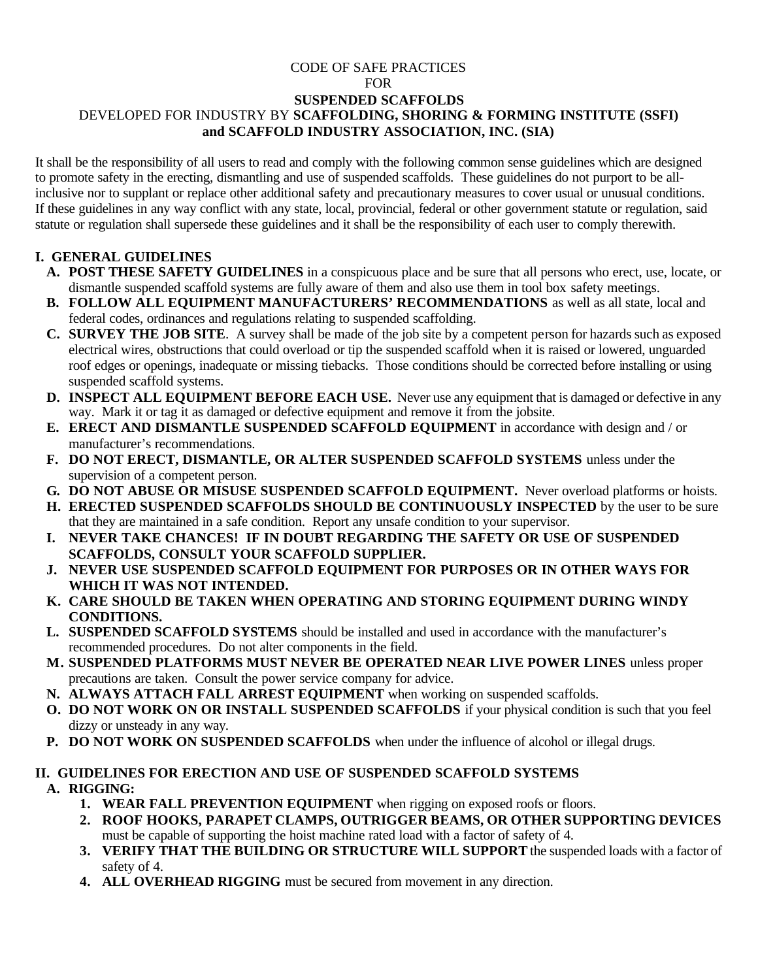# CODE OF SAFE PRACTICES

FOR

#### **SUSPENDED SCAFFOLDS** DEVELOPED FOR INDUSTRY BY **SCAFFOLDING, SHORING & FORMING INSTITUTE (SSFI) and SCAFFOLD INDUSTRY ASSOCIATION, INC. (SIA)**

It shall be the responsibility of all users to read and comply with the following common sense guidelines which are designed to promote safety in the erecting, dismantling and use of suspended scaffolds. These guidelines do not purport to be allinclusive nor to supplant or replace other additional safety and precautionary measures to cover usual or unusual conditions. If these guidelines in any way conflict with any state, local, provincial, federal or other government statute or regulation, said statute or regulation shall supersede these guidelines and it shall be the responsibility of each user to comply therewith.

#### **I. GENERAL GUIDELINES**

- **A. POST THESE SAFETY GUIDELINES** in a conspicuous place and be sure that all persons who erect, use, locate, or dismantle suspended scaffold systems are fully aware of them and also use them in tool box safety meetings.
- **B. FOLLOW ALL EQUIPMENT MANUFACTURERS' RECOMMENDATIONS** as well as all state, local and federal codes, ordinances and regulations relating to suspended scaffolding.
- **C. SURVEY THE JOB SITE**. A survey shall be made of the job site by a competent person for hazards such as exposed electrical wires, obstructions that could overload or tip the suspended scaffold when it is raised or lowered, unguarded roof edges or openings, inadequate or missing tiebacks. Those conditions should be corrected before installing or using suspended scaffold systems.
- **D. INSPECT ALL EQUIPMENT BEFORE EACH USE.** Never use any equipment that is damaged or defective in any way. Mark it or tag it as damaged or defective equipment and remove it from the jobsite.
- **E. ERECT AND DISMANTLE SUSPENDED SCAFFOLD EQUIPMENT** in accordance with design and / or manufacturer's recommendations.
- **F. DO NOT ERECT, DISMANTLE, OR ALTER SUSPENDED SCAFFOLD SYSTEMS** unless under the supervision of a competent person.
- **G. DO NOT ABUSE OR MISUSE SUSPENDED SCAFFOLD EQUIPMENT.** Never overload platforms or hoists.
- **H. ERECTED SUSPENDED SCAFFOLDS SHOULD BE CONTINUOUSLY INSPECTED** by the user to be sure that they are maintained in a safe condition. Report any unsafe condition to your supervisor.
- **I. NEVER TAKE CHANCES! IF IN DOUBT REGARDING THE SAFETY OR USE OF SUSPENDED SCAFFOLDS, CONSULT YOUR SCAFFOLD SUPPLIER.**
- **J. NEVER USE SUSPENDED SCAFFOLD EQUIPMENT FOR PURPOSES OR IN OTHER WAYS FOR WHICH IT WAS NOT INTENDED.**
- **K. CARE SHOULD BE TAKEN WHEN OPERATING AND STORING EQUIPMENT DURING WINDY CONDITIONS.**
- **L. SUSPENDED SCAFFOLD SYSTEMS** should be installed and used in accordance with the manufacturer's recommended procedures. Do not alter components in the field.
- **M. SUSPENDED PLATFORMS MUST NEVER BE OPERATED NEAR LIVE POWER LINES** unless proper precautions are taken. Consult the power service company for advice.
- **N. ALWAYS ATTACH FALL ARREST EQUIPMENT** when working on suspended scaffolds.
- **O. DO NOT WORK ON OR INSTALL SUSPENDED SCAFFOLDS** if your physical condition is such that you feel dizzy or unsteady in any way.
- **P. DO NOT WORK ON SUSPENDED SCAFFOLDS** when under the influence of alcohol or illegal drugs.

## **II. GUIDELINES FOR ERECTION AND USE OF SUSPENDED SCAFFOLD SYSTEMS**

## **A. RIGGING:**

- **1. WEAR FALL PREVENTION EQUIPMENT** when rigging on exposed roofs or floors.
- **2. ROOF HOOKS, PARAPET CLAMPS, OUTRIGGER BEAMS, OR OTHER SUPPORTING DEVICES** must be capable of supporting the hoist machine rated load with a factor of safety of 4.
- **3. VERIFY THAT THE BUILDING OR STRUCTURE WILL SUPPORT** the suspended loads with a factor of safety of 4.
- **4. ALL OVERHEAD RIGGING** must be secured from movement in any direction.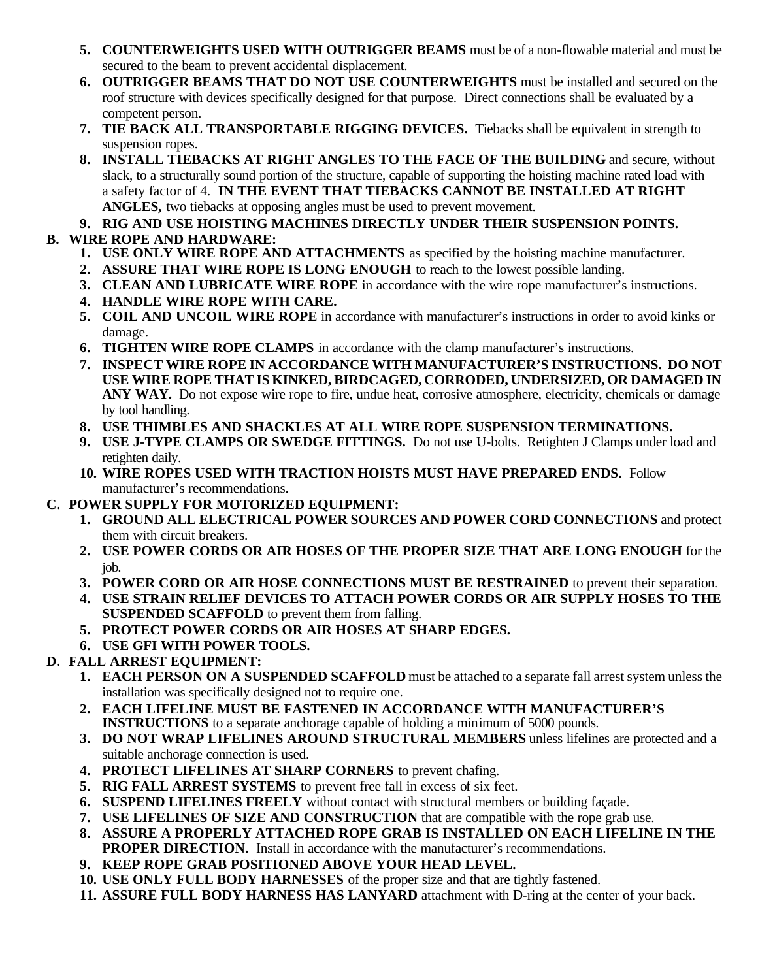- **5. COUNTERWEIGHTS USED WITH OUTRIGGER BEAMS** must be of a non-flowable material and must be secured to the beam to prevent accidental displacement.
- **6. OUTRIGGER BEAMS THAT DO NOT USE COUNTERWEIGHTS** must be installed and secured on the roof structure with devices specifically designed for that purpose. Direct connections shall be evaluated by a competent person.
- **7. TIE BACK ALL TRANSPORTABLE RIGGING DEVICES.** Tiebacks shall be equivalent in strength to suspension ropes.
- **8. INSTALL TIEBACKS AT RIGHT ANGLES TO THE FACE OF THE BUILDING** and secure, without slack, to a structurally sound portion of the structure, capable of supporting the hoisting machine rated load with a safety factor of 4. **IN THE EVENT THAT TIEBACKS CANNOT BE INSTALLED AT RIGHT ANGLES,** two tiebacks at opposing angles must be used to prevent movement.
- **9. RIG AND USE HOISTING MACHINES DIRECTLY UNDER THEIR SUSPENSION POINTS.**
- **B. WIRE ROPE AND HARDWARE:**
	- **1. USE ONLY WIRE ROPE AND ATTACHMENTS** as specified by the hoisting machine manufacturer.
	- **2. ASSURE THAT WIRE ROPE IS LONG ENOUGH** to reach to the lowest possible landing.
	- **3. CLEAN AND LUBRICATE WIRE ROPE** in accordance with the wire rope manufacturer's instructions.
	- **4. HANDLE WIRE ROPE WITH CARE.**
	- **5. COIL AND UNCOIL WIRE ROPE** in accordance with manufacturer's instructions in order to avoid kinks or damage.
	- **6. TIGHTEN WIRE ROPE CLAMPS** in accordance with the clamp manufacturer's instructions.
	- **7. INSPECT WIRE ROPE IN ACCORDANCE WITH MANUFACTURER'S INSTRUCTIONS. DO NOT USE WIRE ROPE THAT IS KINKED, BIRDCAGED, CORRODED, UNDERSIZED, OR DAMAGED IN ANY WAY.** Do not expose wire rope to fire, undue heat, corrosive atmosphere, electricity, chemicals or damage by tool handling.
	- **8. USE THIMBLES AND SHACKLES AT ALL WIRE ROPE SUSPENSION TERMINATIONS.**
	- **9. USE J-TYPE CLAMPS OR SWEDGE FITTINGS.** Do not use U-bolts. Retighten J Clamps under load and retighten daily.
	- **10. WIRE ROPES USED WITH TRACTION HOISTS MUST HAVE PREPARED ENDS.** Follow manufacturer's recommendations.
- **C. POWER SUPPLY FOR MOTORIZED EQUIPMENT:**
	- **1. GROUND ALL ELECTRICAL POWER SOURCES AND POWER CORD CONNECTIONS** and protect them with circuit breakers.
	- **2. USE POWER CORDS OR AIR HOSES OF THE PROPER SIZE THAT ARE LONG ENOUGH** for the job.
	- **3. POWER CORD OR AIR HOSE CONNECTIONS MUST BE RESTRAINED** to prevent their separation.
	- **4. USE STRAIN RELIEF DEVICES TO ATTACH POWER CORDS OR AIR SUPPLY HOSES TO THE SUSPENDED SCAFFOLD** to prevent them from falling.
	- **5. PROTECT POWER CORDS OR AIR HOSES AT SHARP EDGES.**
	- **6. USE GFI WITH POWER TOOLS.**

## **D. FALL ARREST EQUIPMENT:**

- **1. EACH PERSON ON A SUSPENDED SCAFFOLD** must be attached to a separate fall arrest system unless the installation was specifically designed not to require one.
- **2. EACH LIFELINE MUST BE FASTENED IN ACCORDANCE WITH MANUFACTURER'S INSTRUCTIONS** to a separate anchorage capable of holding a minimum of 5000 pounds.
- **3. DO NOT WRAP LIFELINES AROUND STRUCTURAL MEMBERS** unless lifelines are protected and a suitable anchorage connection is used.
- **4. PROTECT LIFELINES AT SHARP CORNERS** to prevent chafing.
- **5. RIG FALL ARREST SYSTEMS** to prevent free fall in excess of six feet.
- **6. SUSPEND LIFELINES FREELY** without contact with structural members or building façade.
- **7. USE LIFELINES OF SIZE AND CONSTRUCTION** that are compatible with the rope grab use.
- **8. ASSURE A PROPERLY ATTACHED ROPE GRAB IS INSTALLED ON EACH LIFELINE IN THE PROPER DIRECTION.** Install in accordance with the manufacturer's recommendations.
- **9. KEEP ROPE GRAB POSITIONED ABOVE YOUR HEAD LEVEL.**
- **10. USE ONLY FULL BODY HARNESSES** of the proper size and that are tightly fastened.
- **11. ASSURE FULL BODY HARNESS HAS LANYARD** attachment with D-ring at the center of your back.